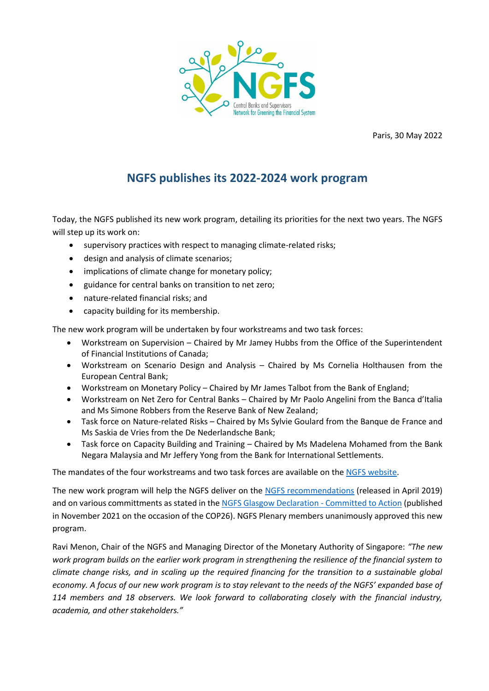

Paris, 30 May 2022

## **NGFS publishes its 2022-2024 work program**

Today, the NGFS published its new work program, detailing its priorities for the next two years. The NGFS will step up its work on:

- supervisory practices with respect to managing climate-related risks;
- design and analysis of climate scenarios;
- implications of climate change for monetary policy;
- guidance for central banks on transition to net zero;
- nature-related financial risks; and
- capacity building for its membership.

The new work program will be undertaken by four workstreams and two task forces:

- Workstream on Supervision Chaired by Mr Jamey Hubbs from the Office of the Superintendent of Financial Institutions of Canada;
- Workstream on Scenario Design and Analysis Chaired by Ms Cornelia Holthausen from the European Central Bank;
- Workstream on Monetary Policy Chaired by Mr James Talbot from the Bank of England;
- Workstream on Net Zero for Central Banks Chaired by Mr Paolo Angelini from the Banca d'Italia and Ms Simone Robbers from the Reserve Bank of New Zealand;
- Task force on Nature-related Risks Chaired by Ms Sylvie Goulard from the Banque de France and Ms Saskia de Vries from the De Nederlandsche Bank;
- Task force on Capacity Building and Training Chaired by Ms Madelena Mohamed from the Bank Negara Malaysia and Mr Jeffery Yong from the Bank for International Settlements.

The mandates of the four workstreams and two task forces are available on th[e NGFS website.](https://www.ngfs.net/en/about-us/governance/general-information)

The new work program will help the NGFS deliver on the NGFS [recommendations](https://www.ngfs.net/sites/default/files/medias/documents/ngfs_first_comprehensive_report_-_17042019_0.pdf) (released in April 2019) and on various committments as stated in the [NGFS Glasgow Declaration -](https://www.ngfs.net/en/communique-de-presse/ngfs-publishes-ngfs-glasgow-declaration-and-continues-foster-climate-action-central-banks-and) Committed to Action (published in November 2021 on the occasion of the COP26). NGFS Plenary members unanimously approved this new program.

Ravi Menon, Chair of the NGFS and Managing Director of the Monetary Authority of Singapore: *"The new work program builds on the earlier work program in strengthening the resilience of the financial system to climate change risks, and in scaling up the required financing for the transition to a sustainable global economy. A focus of our new work program is to stay relevant to the needs of the NGFS' expanded base of 114 members and 18 observers. We look forward to collaborating closely with the financial industry, academia, and other stakeholders."*